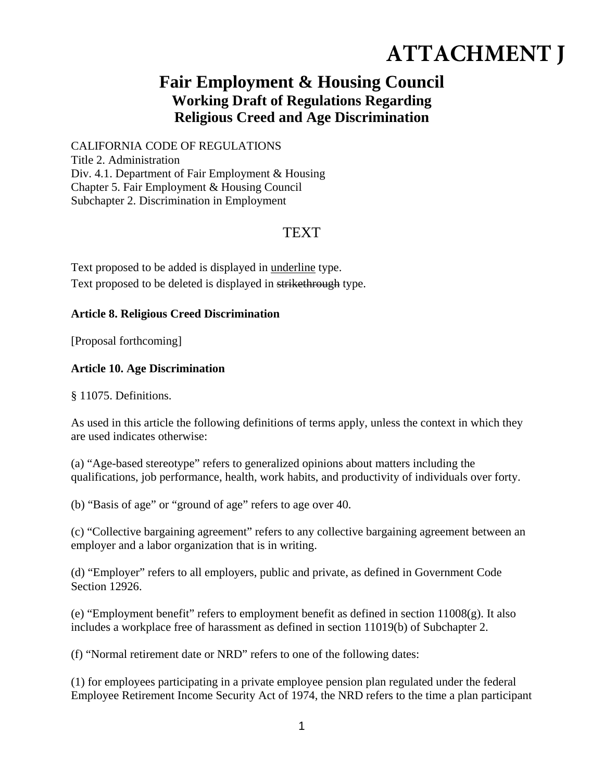# **ATTACHMENT J**

## **Fair Employment & Housing Council Working Draft of Regulations Regarding Religious Creed and Age Discrimination**

CALIFORNIA CODE OF REGULATIONS Title 2. Administration Div. 4.1. Department of Fair Employment & Housing Chapter 5. Fair Employment & Housing Council Subchapter 2. Discrimination in Employment

## TEXT

Text proposed to be added is displayed in underline type. Text proposed to be deleted is displayed in strikethrough type.

#### **Article 8. Religious Creed Discrimination**

[Proposal forthcoming]

### **Article 10. Age Discrimination**

§ 11075. Definitions.

As used in this article the following definitions of terms apply, unless the context in which they are used indicates otherwise:

(a) "Age-based stereotype" refers to generalized opinions about matters including the qualifications, job performance, health, work habits, and productivity of individuals over forty.

(b) "Basis of age" or "ground of age" refers to age over 40.

(c) "Collective bargaining agreement" refers to any collective bargaining agreement between an employer and a labor organization that is in writing.

(d) "Employer" refers to all employers, public and private, as defined in Government Code Section 12926.

(e) "Employment benefit" refers to employment benefit as defined in section 11008(g). It also includes a workplace free of harassment as defined in section 11019(b) of Subchapter 2.

(f) "Normal retirement date or NRD" refers to one of the following dates:

(1) for employees participating in a private employee pension plan regulated under the federal Employee Retirement Income Security Act of 1974, the NRD refers to the time a plan participant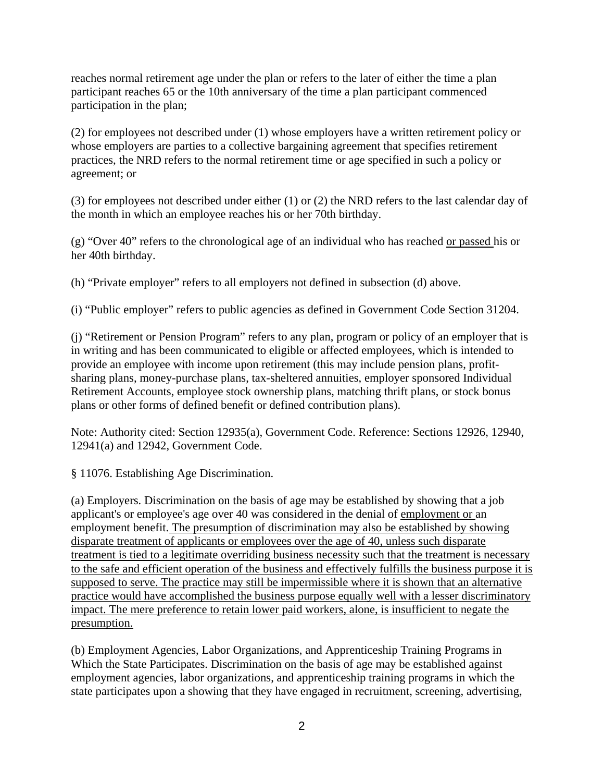reaches normal retirement age under the plan or refers to the later of either the time a plan participant reaches 65 or the 10th anniversary of the time a plan participant commenced participation in the plan;

(2) for employees not described under (1) whose employers have a written retirement policy or whose employers are parties to a collective bargaining agreement that specifies retirement practices, the NRD refers to the normal retirement time or age specified in such a policy or agreement; or

(3) for employees not described under either (1) or (2) the NRD refers to the last calendar day of the month in which an employee reaches his or her 70th birthday.

(g) "Over 40" refers to the chronological age of an individual who has reached or passed his or her 40th birthday.

(h) "Private employer" refers to all employers not defined in subsection (d) above.

(i) "Public employer" refers to public agencies as defined in Government Code Section 31204.

(j) "Retirement or Pension Program" refers to any plan, program or policy of an employer that is in writing and has been communicated to eligible or affected employees, which is intended to provide an employee with income upon retirement (this may include pension plans, profitsharing plans, money-purchase plans, tax-sheltered annuities, employer sponsored Individual Retirement Accounts, employee stock ownership plans, matching thrift plans, or stock bonus plans or other forms of defined benefit or defined contribution plans).

Note: Authority cited: Section 12935(a), Government Code. Reference: Sections 12926, 12940, 12941(a) and 12942, Government Code.

§ 11076. Establishing Age Discrimination.

(a) Employers. Discrimination on the basis of age may be established by showing that a job applicant's or employee's age over 40 was considered in the denial of employment or an employment benefit. The presumption of discrimination may also be established by showing disparate treatment of applicants or employees over the age of 40, unless such disparate treatment is tied to a legitimate overriding business necessity such that the treatment is necessary to the safe and efficient operation of the business and effectively fulfills the business purpose it is supposed to serve. The practice may still be impermissible where it is shown that an alternative practice would have accomplished the business purpose equally well with a lesser discriminatory impact. The mere preference to retain lower paid workers, alone, is insufficient to negate the presumption.

(b) Employment Agencies, Labor Organizations, and Apprenticeship Training Programs in Which the State Participates. Discrimination on the basis of age may be established against employment agencies, labor organizations, and apprenticeship training programs in which the state participates upon a showing that they have engaged in recruitment, screening, advertising,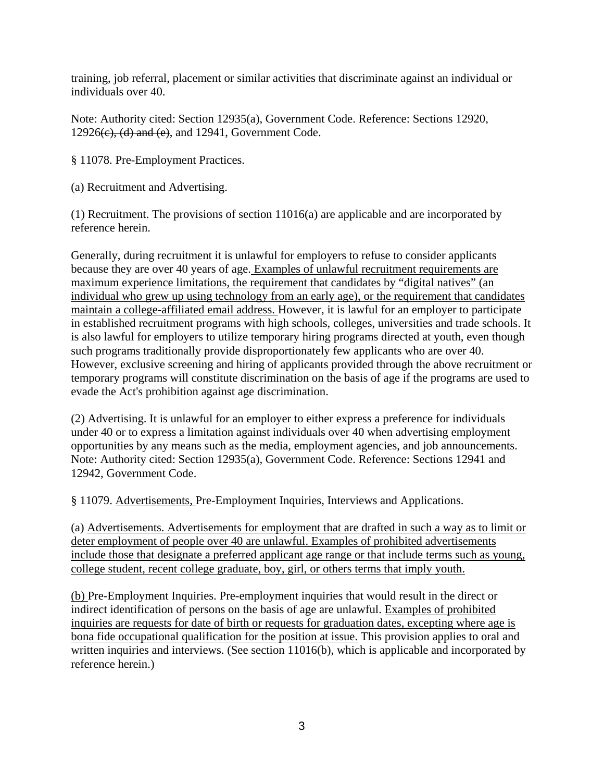training, job referral, placement or similar activities that discriminate against an individual or individuals over 40.

Note: Authority cited: Section 12935(a), Government Code. Reference: Sections 12920,  $12926(e)$ , (d) and (e), and  $12941$ , Government Code.

§ 11078. Pre-Employment Practices.

(a) Recruitment and Advertising.

(1) Recruitment. The provisions of section 11016(a) are applicable and are incorporated by reference herein.

Generally, during recruitment it is unlawful for employers to refuse to consider applicants because they are over 40 years of age. Examples of unlawful recruitment requirements are maximum experience limitations, the requirement that candidates by "digital natives" (an individual who grew up using technology from an early age), or the requirement that candidates maintain a college-affiliated email address. However, it is lawful for an employer to participate in established recruitment programs with high schools, colleges, universities and trade schools. It is also lawful for employers to utilize temporary hiring programs directed at youth, even though such programs traditionally provide disproportionately few applicants who are over 40. However, exclusive screening and hiring of applicants provided through the above recruitment or temporary programs will constitute discrimination on the basis of age if the programs are used to evade the Act's prohibition against age discrimination.

(2) Advertising. It is unlawful for an employer to either express a preference for individuals under 40 or to express a limitation against individuals over 40 when advertising employment opportunities by any means such as the media, employment agencies, and job announcements. Note: Authority cited: Section 12935(a), Government Code. Reference: Sections 12941 and 12942, Government Code.

§ 11079. Advertisements, Pre-Employment Inquiries, Interviews and Applications.

(a) Advertisements. Advertisements for employment that are drafted in such a way as to limit or deter employment of people over 40 are unlawful. Examples of prohibited advertisements include those that designate a preferred applicant age range or that include terms such as young, college student, recent college graduate, boy, girl, or others terms that imply youth.

(b) Pre-Employment Inquiries. Pre-employment inquiries that would result in the direct or indirect identification of persons on the basis of age are unlawful. Examples of prohibited inquiries are requests for date of birth or requests for graduation dates, excepting where age is bona fide occupational qualification for the position at issue. This provision applies to oral and written inquiries and interviews. (See section 11016(b), which is applicable and incorporated by reference herein.)